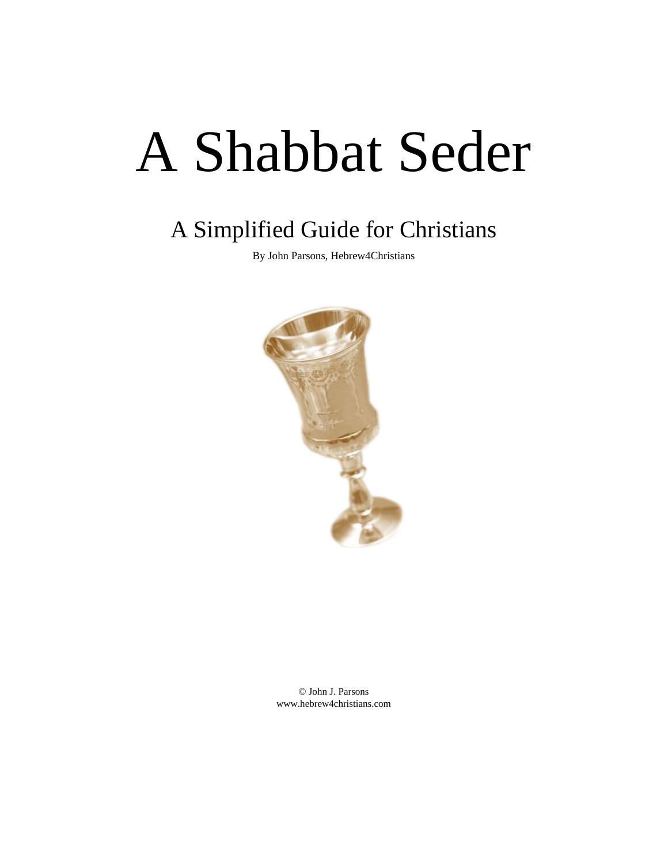# A Shabbat Seder

## A Simplified Guide for Christians

By John Parsons, Hebrew4Christians



© John J. Parsons www.hebrew4christians.com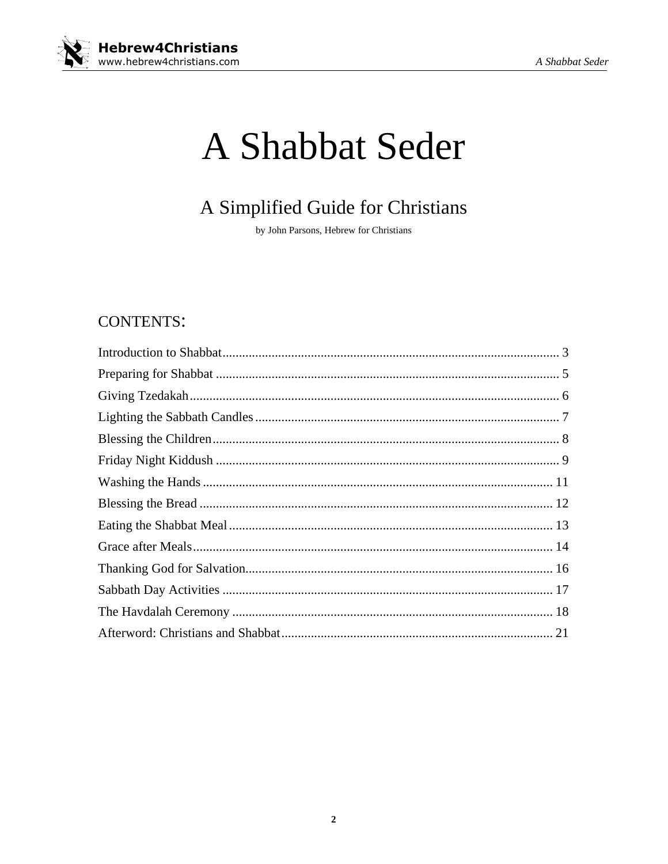

## A Shabbat Seder

### A Simplified Guide for Christians

by John Parsons, Hebrew for Christians

#### **CONTENTS:**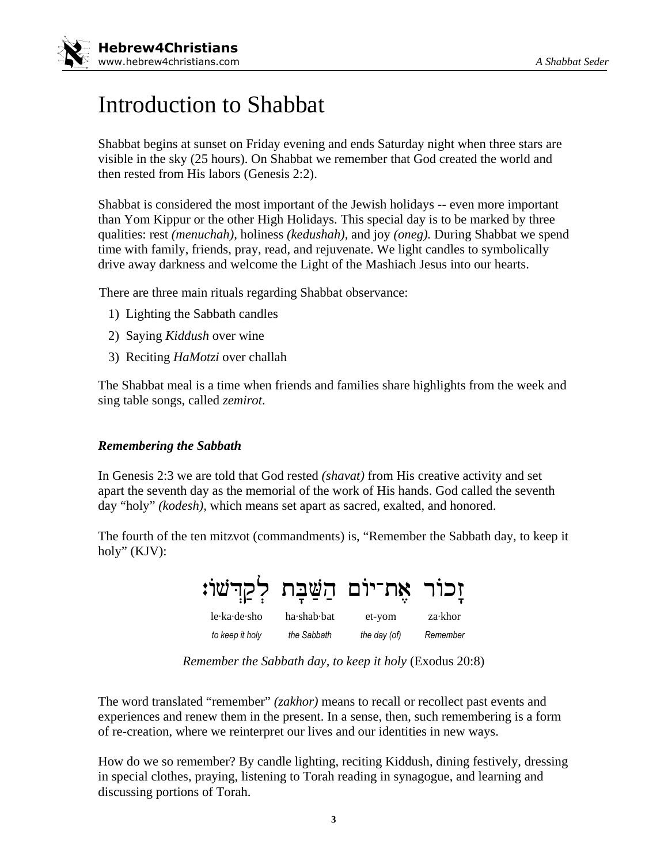

## Introduction to Shabbat

Shabbat begins at sunset on Friday evening and ends Saturday night when three stars are visible in the sky (25 hours). On Shabbat we remember that God created the world and then rested from His labors (Genesis 2:2).

Shabbat is considered the most important of the Jewish holidays -- even more important than Yom Kippur or the other High Holidays. This special day is to be marked by three qualities: rest *(menuchah),* holiness *(kedushah),* and joy *(oneg).* During Shabbat we spend time with family, friends, pray, read, and rejuvenate. We light candles to symbolically drive away darkness and welcome the Light of the Mashiach Jesus into our hearts.

There are three main rituals regarding Shabbat observance:

- 1) Lighting the Sabbath candles
- 2) Saying *Kiddush* over wine
- 3) Reciting *HaMotzi* over challah

The Shabbat meal is a time when friends and families share highlights from the week and sing table songs, called *zemirot*.

#### *Remembering the Sabbath*

In Genesis 2:3 we are told that God rested *(shavat)* from His creative activity and set apart the seventh day as the memorial of the work of His hands. God called the seventh day "holy" *(kodesh),* which means set apart as sacred, exalted, and honored.

The fourth of the ten mitzvot (commandments) is, "Remember the Sabbath day, to keep it holy" (KJV):

| זָכוֹר אֶת־יוֹם הַשַּׁבָּת לְקַדְּשׁוֹ: |             |              |            |  |
|-----------------------------------------|-------------|--------------|------------|--|
| le·ka·de·sho                            | ha·shab·bat | et-yom       | $z$ a·khor |  |
| to keep it holy                         | the Sabbath | the day (of) | Remember   |  |

*Remember the Sabbath day, to keep it holy* (Exodus 20:8)

The word translated "remember" *(zakhor)* means to recall or recollect past events and experiences and renew them in the present. In a sense, then, such remembering is a form of re-creation, where we reinterpret our lives and our identities in new ways.

How do we so remember? By candle lighting, reciting Kiddush, dining festively, dressing in special clothes, praying, listening to Torah reading in synagogue, and learning and discussing portions of Torah.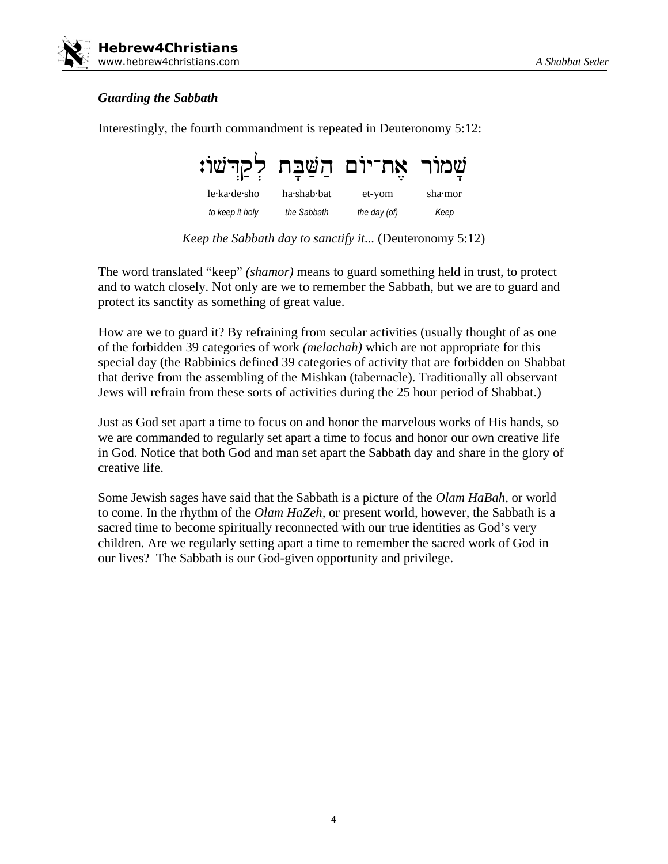

#### *Guarding the Sabbath*

Interestingly, the fourth commandment is repeated in Deuteronomy 5:12:

| שָׁמוֹר אֶת־יוֹם הַשַּׁבָּת לְקַדִּשׁוֹ: |             |              |                 |
|------------------------------------------|-------------|--------------|-----------------|
| le·ka·de·sho                             | ha-shab-bat | et-yom       | $sha \cdot mor$ |
| to keep it holy                          | the Sabbath | the day (of) | Keep            |

*Keep the Sabbath day to sanctify it...* (Deuteronomy 5:12)

The word translated "keep" *(shamor)* means to guard something held in trust, to protect and to watch closely. Not only are we to remember the Sabbath, but we are to guard and protect its sanctity as something of great value.

How are we to guard it? By refraining from secular activities (usually thought of as one of the forbidden 39 categories of work *(melachah)* which are not appropriate for this special day (the Rabbinics defined 39 categories of activity that are forbidden on Shabbat that derive from the assembling of the Mishkan (tabernacle). Traditionally all observant Jews will refrain from these sorts of activities during the 25 hour period of Shabbat.)

Just as God set apart a time to focus on and honor the marvelous works of His hands, so we are commanded to regularly set apart a time to focus and honor our own creative life in God. Notice that both God and man set apart the Sabbath day and share in the glory of creative life.

Some Jewish sages have said that the Sabbath is a picture of the *Olam HaBah,* or world to come. In the rhythm of the *Olam HaZeh,* or present world, however, the Sabbath is a sacred time to become spiritually reconnected with our true identities as God's very children. Are we regularly setting apart a time to remember the sacred work of God in our lives? The Sabbath is our God-given opportunity and privilege.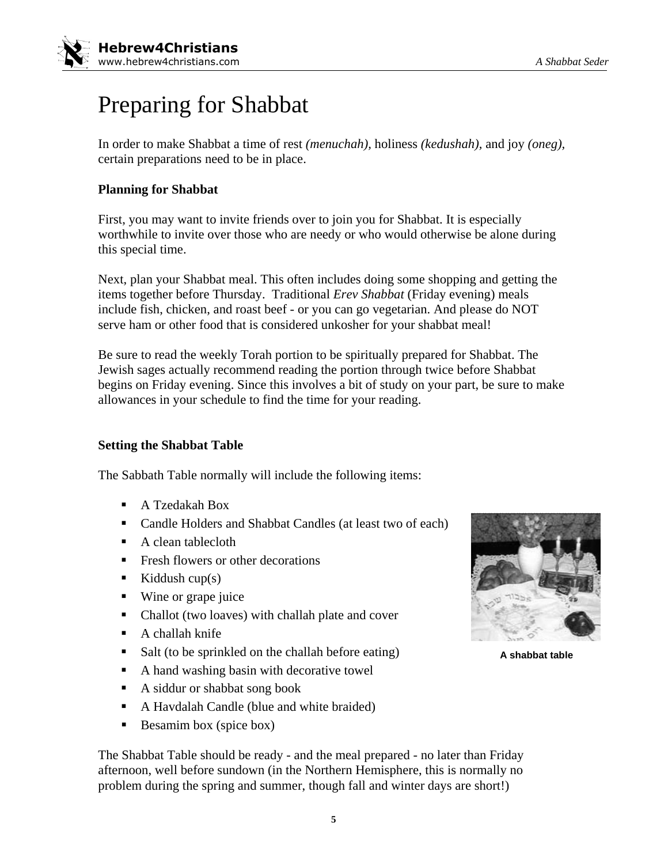

## Preparing for Shabbat

In order to make Shabbat a time of rest *(menuchah),* holiness *(kedushah),* and joy *(oneg),*  certain preparations need to be in place.

#### **Planning for Shabbat**

First, you may want to invite friends over to join you for Shabbat. It is especially worthwhile to invite over those who are needy or who would otherwise be alone during this special time.

Next, plan your Shabbat meal. This often includes doing some shopping and getting the items together before Thursday. Traditional *Erev Shabbat* (Friday evening) meals include fish, chicken, and roast beef - or you can go vegetarian. And please do NOT serve ham or other food that is considered unkosher for your shabbat meal!

Be sure to read the weekly Torah portion to be spiritually prepared for Shabbat. The Jewish sages actually recommend reading the portion through twice before Shabbat begins on Friday evening. Since this involves a bit of study on your part, be sure to make allowances in your schedule to find the time for your reading.

#### **Setting the Shabbat Table**

The Sabbath Table normally will include the following items:

- A Tzedakah Box
- Candle Holders and Shabbat Candles (at least two of each)
- $\blacksquare$  A clean tablecloth
- **Fresh flowers or other decorations**
- Kiddush cup $(s)$
- Wine or grape juice
- Challot (two loaves) with challah plate and cover
- $\blacksquare$  A challah knife
- Salt (to be sprinkled on the challah before eating)
- A hand washing basin with decorative towel
- A siddur or shabbat song book
- A Havdalah Candle (blue and white braided)
- Besamim box (spice box)

The Shabbat Table should be ready - and the meal prepared - no later than Friday afternoon, well before sundown (in the Northern Hemisphere, this is normally no problem during the spring and summer, though fall and winter days are short!)



**A shabbat table**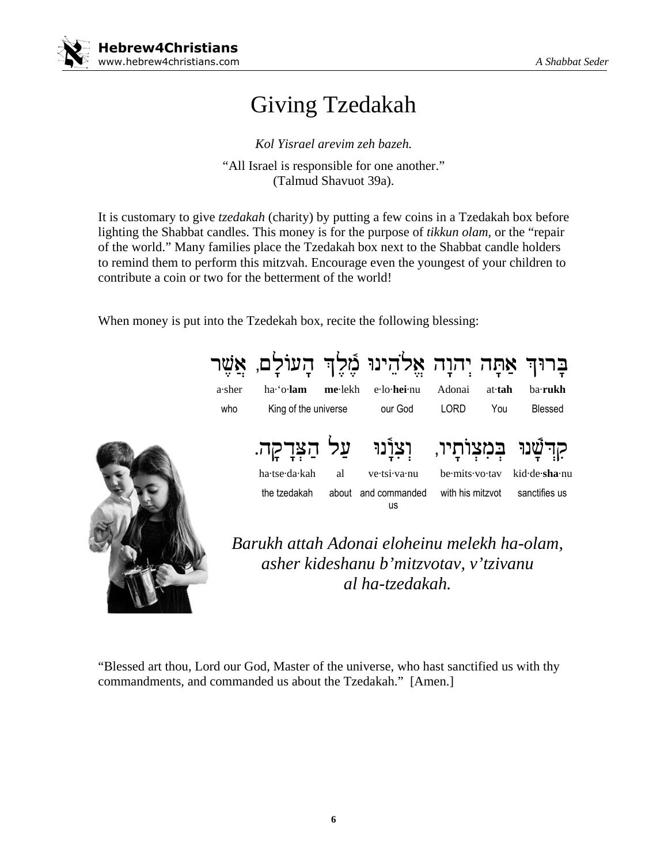

## Giving Tzedakah

*Kol Yisrael arevim zeh bazeh.*

"All Israel is responsible for one another." (Talmud Shavuot 39a).

It is customary to give *tzedakah* (charity) by putting a few coins in a Tzedakah box before lighting the Shabbat candles. This money is for the purpose of *tikkun olam,* or the "repair of the world." Many families place the Tzedakah box next to the Shabbat candle holders to remind them to perform this mitzvah. Encourage even the youngest of your children to contribute a coin or two for the betterment of the world!

When money is put into the Tzedekah box, recite the following blessing:



"Blessed art thou, Lord our God, Master of the universe, who hast sanctified us with thy commandments, and commanded us about the Tzedakah." [Amen.]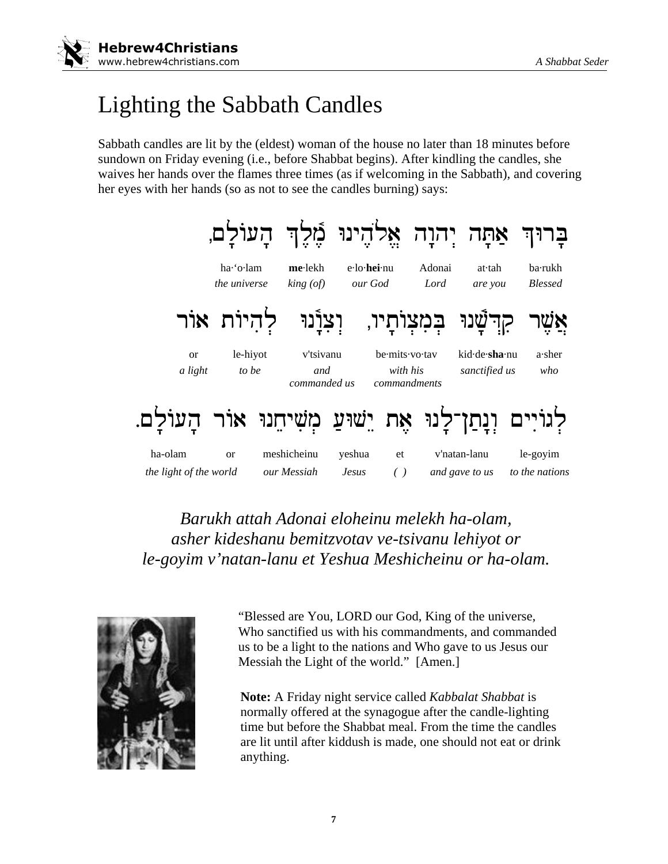

## Lighting the Sabbath Candles

Sabbath candles are lit by the (eldest) woman of the house no later than 18 minutes before sundown on Friday evening (i.e., before Shabbat begins). After kindling the candles, she waives her hands over the flames three times (as if welcoming in the Sabbath), and covering her eyes with her hands (so as not to see the candles burning) says:



*Barukh attah Adonai eloheinu melekh ha-olam, asher kideshanu bemitzvotav ve-tsivanu lehiyot or le-goyim v'natan-lanu et Yeshua Meshicheinu or ha-olam.* 



"Blessed are You, LORD our God, King of the universe, Who sanctified us with his commandments, and commanded us to be a light to the nations and Who gave to us Jesus our Messiah the Light of the world." [Amen.]

**Note:** A Friday night service called *Kabbalat Shabbat* is normally offered at the synagogue after the candle-lighting time but before the Shabbat meal. From the time the candles are lit until after kiddush is made, one should not eat or drink anything.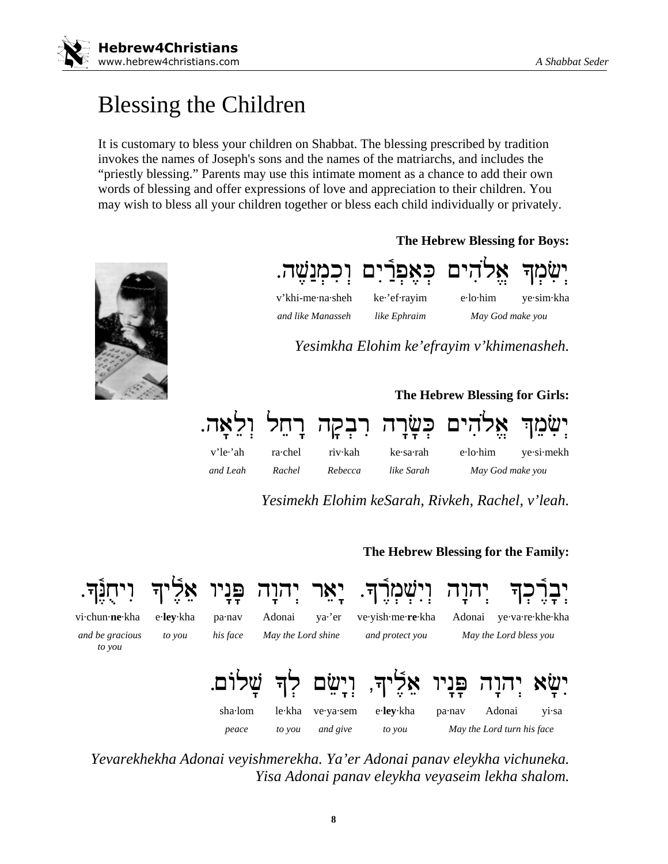

## **Blessing the Children**

It is customary to bless your children on Shabbat. The blessing prescribed by tradition invokes the names of Joseph's sons and the names of the matriarchs, and includes the "priestly blessing." Parents may use this intimate moment as a chance to add their own words of blessing and offer expressions of love and appreciation to their children. You may wish to bless all your children together or bless each child individually or privately.



vi·chun·**ne**·kha

and be gracious

to you

The Hebrew Blessing for Boys:



Yesimkha Elohim ke'efrayim v'khimenasheh.

The Hebrew Blessing for Girls:

|          |        |                 |            | יְשִׂמֵךְ אֱלֹהִים כְּשָׂרָה רִבְקָה רָחֵל וְלֵאָה. |  |
|----------|--------|-----------------|------------|-----------------------------------------------------|--|
| v'le∙'ah |        | ra•chel riv•kah | ke∙sa∙rah  | $e\cdot$ lo $\cdot$ him ye $\cdot$ si $\cdot$ mekh  |  |
| and Leah | Rachel | Rebecca         | like Sarah | May God make you                                    |  |

Yesimekh Elohim keSarah, Rivkeh, Rachel, v'leah.

The Hebrew Blessing for the Family:





Yevarekhekha Adonai veyishmerekha. Ya'er Adonai panav eleykha vichuneka. Yisa Adonai panav eleykha veyaseim lekha shalom.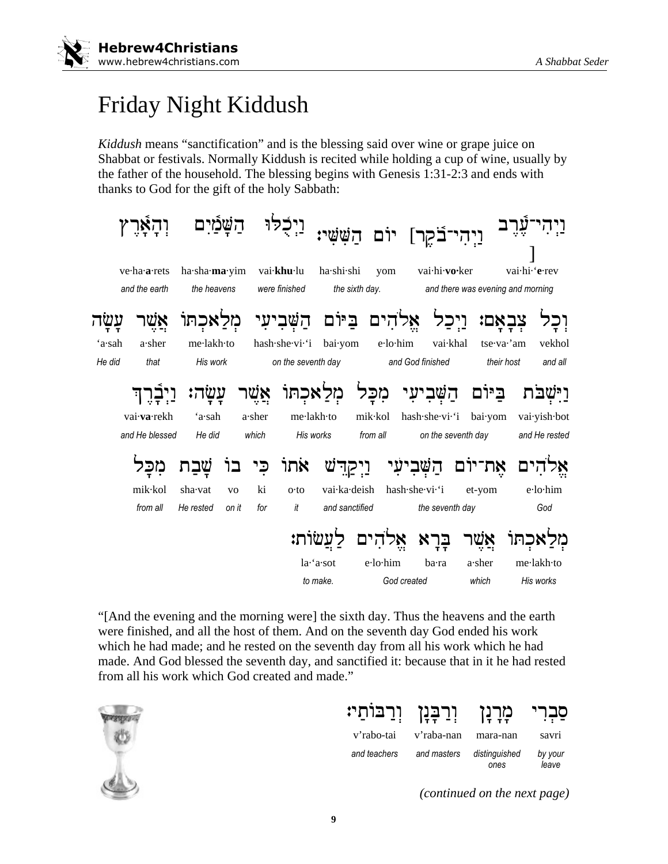

## Friday Night Kiddush

*Kiddush* means "sanctification" and is the blessing said over wine or grape juice on Shabbat or festivals. Normally Kiddush is recited while holding a cup of wine, usually by the father of the household. The blessing begins with Genesis 1:31-2:3 and ends with thanks to God for the gift of the holy Sabbath:



"[And the evening and the morning were] the sixth day. Thus the heavens and the earth were finished, and all the host of them. And on the seventh day God ended his work which he had made; and he rested on the seventh day from all his work which he had made. And God blessed the seventh day, and sanctified it: because that in it he had rested from all his work which God created and made."



| וְרַבְּנְן וְרַבּותַי: |             | מְרְנְן               | סברי             |
|------------------------|-------------|-----------------------|------------------|
| v'rabo-tai             | v'raba-nan  | mara-nan              | savri            |
| and teachers           | and masters | distinguished<br>ones | by your<br>leave |

*(continued on the next page)*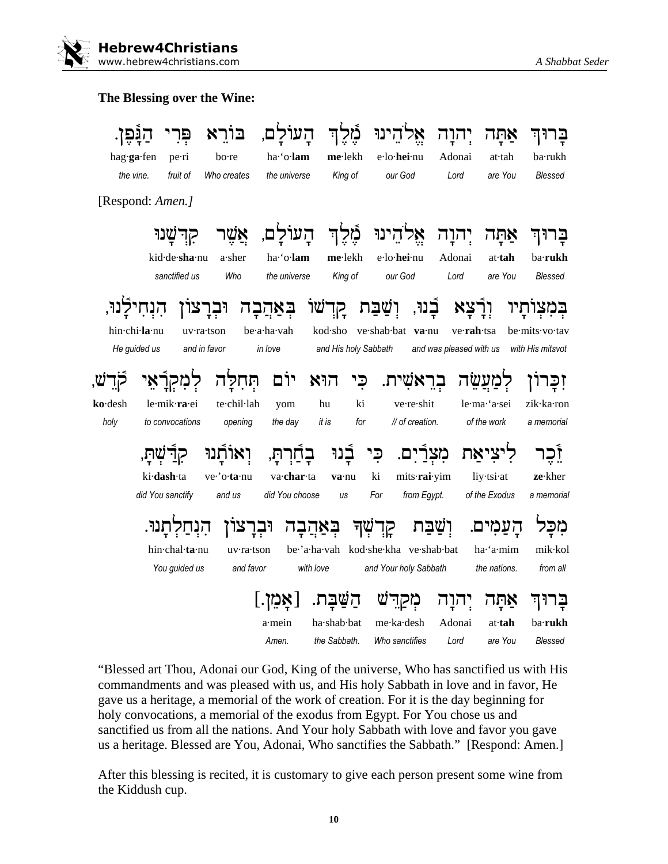#### The Blessing over the Wine:

| hag ga fen       |                  | pe∙ri           | $bo-re$     | ha·'o·lam      | me-lekh              | e·lo·hei·nu                         | Adonai                  | at∙tah        | ba·rukh          |
|------------------|------------------|-----------------|-------------|----------------|----------------------|-------------------------------------|-------------------------|---------------|------------------|
| the vine.        |                  | fruit of        | Who creates | the universe   | King of              | our God                             | Lord                    | are You       | Blessed          |
| [Respond: Amen.] |                  |                 |             |                |                      |                                     |                         |               |                  |
|                  |                  |                 |             |                |                      | 'הינו                               |                         |               |                  |
|                  |                  | kid-de-sha-nu   | a-sher      | ha·'o·lam      | me-lekh              | e·lo·hei·nu                         | Adonai                  | at tah        | ba-rukh          |
|                  |                  | sanctified us   | Who         | the universe   | King of              | our God                             | Lord                    | are You       | Blessed          |
|                  |                  |                 |             |                |                      | שבת                                 |                         |               |                  |
|                  | hin·chi·la·nu    | uv·ra·tson      |             | be-a-ha-vah    | kod·sho              | ve·shab·bat va·nu                   | ve·rah·tsa              |               | be mits vo tav   |
|                  | He guided us     | and in favor    |             | in love        | and His holy Sabbath |                                     | and was pleased with us |               | with His mitsvot |
|                  |                  |                 |             | יום            | הוא<br>כי            |                                     |                         |               |                  |
| ko-desh          |                  | le·mik·ra·ei    | te-chil-lah | yom            | hu<br>ki             | ve·re·shit                          |                         | le·ma·'a·sei  | zik·ka·ron       |
| holy             |                  | to convocations | opening     | the day        | it is<br>for         | // of creation.                     |                         | of the work   | a memorial       |
|                  |                  |                 |             |                |                      |                                     |                         |               |                  |
|                  | ki-dash-ta       |                 | ve.'o.ta.nu | va-char-ta     | va·nu                | ki<br>mits.rai.yim                  |                         | liy tsi at    | ze-kher          |
|                  | did You sanctify |                 | and us      | did You choose | us                   | For<br>from Egypt.                  |                         | of the Exodus | a memorial       |
|                  |                  |                 |             |                |                      |                                     |                         |               |                  |
|                  |                  |                 |             |                |                      |                                     |                         |               |                  |
|                  |                  | hin·chal·ta·nu  | uv·ra·tson  |                |                      | be'a.ha.vah kod.she.kha ve.shab.bat |                         | ha·'a·mim     | mik·kol          |
|                  |                  | You guided us   | and favor   |                | with love            | and Your holy Sabbath               |                         | the nations.  | from all         |
|                  |                  |                 |             |                |                      |                                     |                         |               |                  |
|                  |                  |                 |             | $a$ ·mein      | ha-shab-bat          | me·ka·desh                          | Adonai                  | at tah        | ba• <b>rukh</b>  |
|                  |                  |                 |             |                |                      |                                     |                         |               |                  |

"Blessed art Thou, Adonai our God, King of the universe, Who has sanctified us with His commandments and was pleased with us, and His holy Sabbath in love and in favor, He gave us a heritage, a memorial of the work of creation. For it is the day beginning for holy convocations, a memorial of the exodus from Egypt. For You chose us and sanctified us from all the nations. And Your holy Sabbath with love and favor you gave us a heritage. Blessed are You, Adonai, Who sanctifies the Sabbath." [Respond: Amen.]

After this blessing is recited, it is customary to give each person present some wine from the Kiddush cup.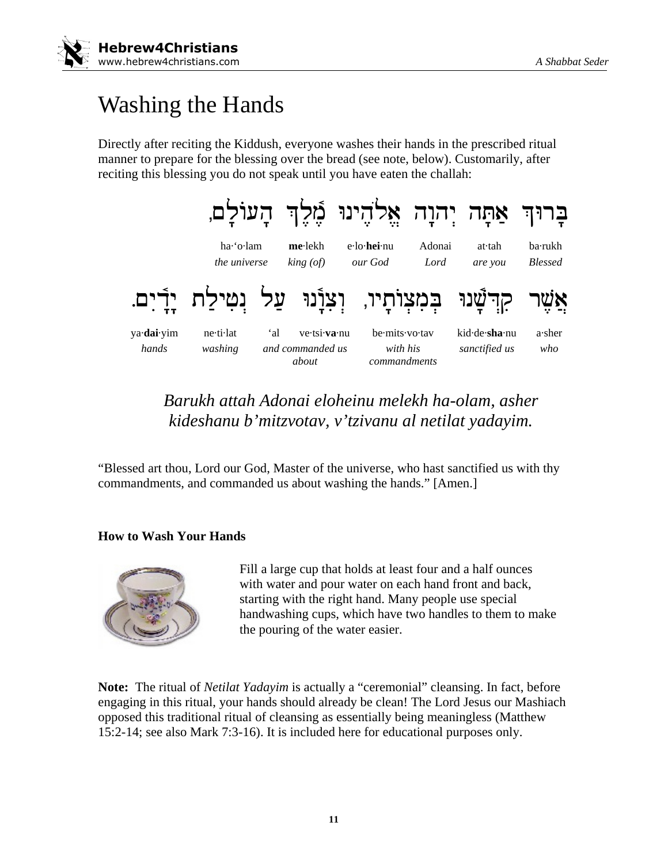

## Washing the Hands

Directly after reciting the Kiddush, everyone washes their hands in the prescribed ritual manner to prepare for the blessing over the bread (see note, below). Customarily, after reciting this blessing you do not speak until you have eaten the challah:



#### *Barukh attah Adonai eloheinu melekh ha-olam, asher kideshanu b'mitzvotav, v'tzivanu al netilat yadayim.*

"Blessed art thou, Lord our God, Master of the universe, who hast sanctified us with thy commandments, and commanded us about washing the hands." [Amen.]

#### **How to Wash Your Hands**



Fill a large cup that holds at least four and a half ounces with water and pour water on each hand front and back, starting with the right hand. Many people use special handwashing cups, which have two handles to them to make the pouring of the water easier.

**Note:** The ritual of *Netilat Yadayim* is actually a "ceremonial" cleansing. In fact, before engaging in this ritual, your hands should already be clean! The Lord Jesus our Mashiach opposed this traditional ritual of cleansing as essentially being meaningless (Matthew 15:2-14; see also Mark 7:3-16). It is included here for educational purposes only.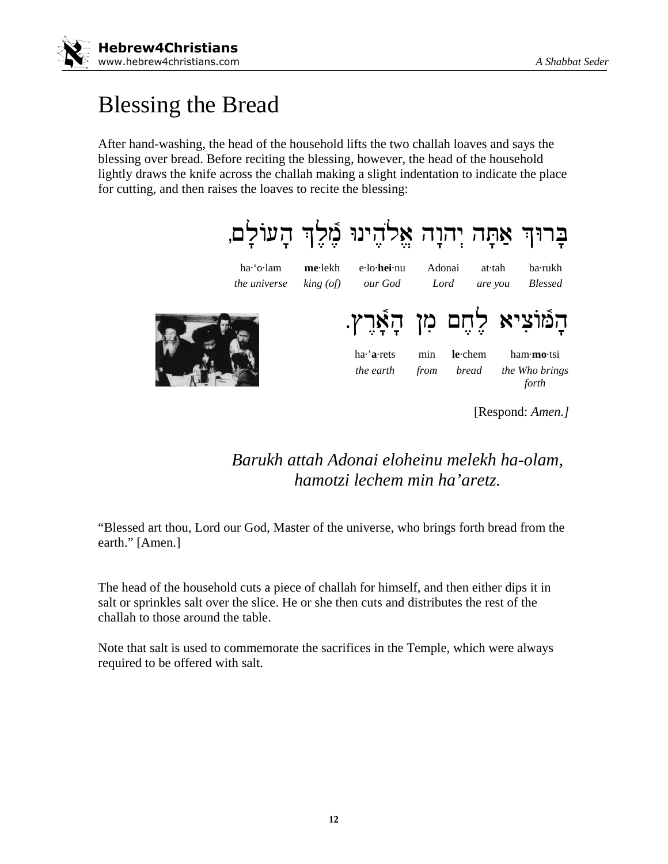

## Blessing the Bread

After hand-washing, the head of the household lifts the two challah loaves and says the blessing over bread. Before reciting the blessing, however, the head of the household lightly draws the knife across the challah making a slight indentation to indicate the place for cutting, and then raises the loaves to recite the blessing:



[Respond: *Amen.]*

#### *Barukh attah Adonai eloheinu melekh ha-olam, hamotzi lechem min ha'aretz.*

"Blessed art thou, Lord our God, Master of the universe, who brings forth bread from the earth." [Amen.]

The head of the household cuts a piece of challah for himself, and then either dips it in salt or sprinkles salt over the slice. He or she then cuts and distributes the rest of the challah to those around the table.

Note that salt is used to commemorate the sacrifices in the Temple, which were always required to be offered with salt.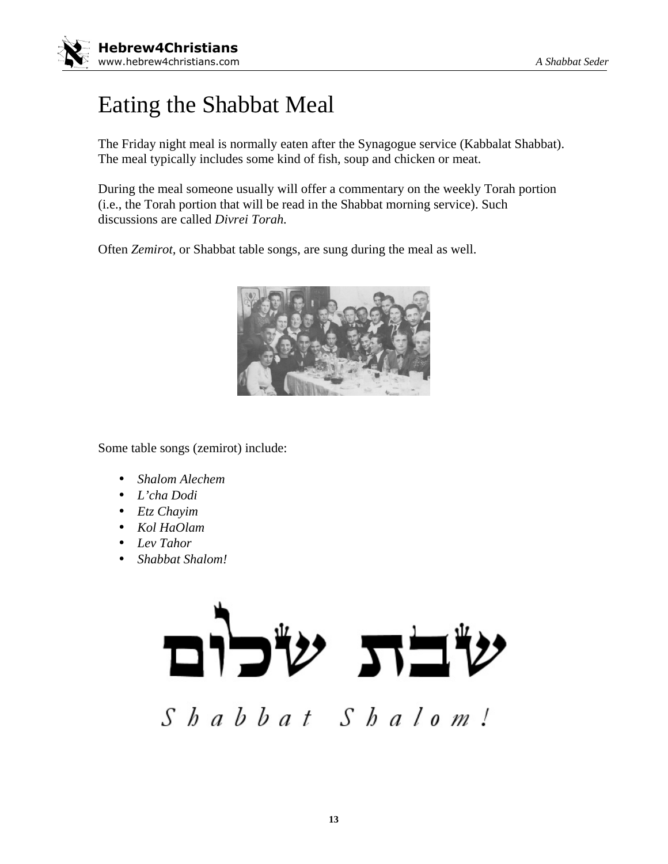

## Eating the Shabbat Meal

The Friday night meal is normally eaten after the Synagogue service (Kabbalat Shabbat). The meal typically includes some kind of fish, soup and chicken or meat.

During the meal someone usually will offer a commentary on the weekly Torah portion (i.e., the Torah portion that will be read in the Shabbat morning service). Such discussions are called *Divrei Torah.* 

Often *Zemirot,* or Shabbat table songs, are sung during the meal as well.



Some table songs (zemirot) include:

- *Shalom Alechem*
- *L'cha Dodi*
- *Etz Chayim*
- *Kol HaOlam*
- *Lev Tahor*
- *Shabbat Shalom!*

 $\mathbf{Z}$  $S$   $b$   $a$   $b$   $b$   $a$   $t$   $S$   $b$   $a$   $l$   $o$   $m$   $l$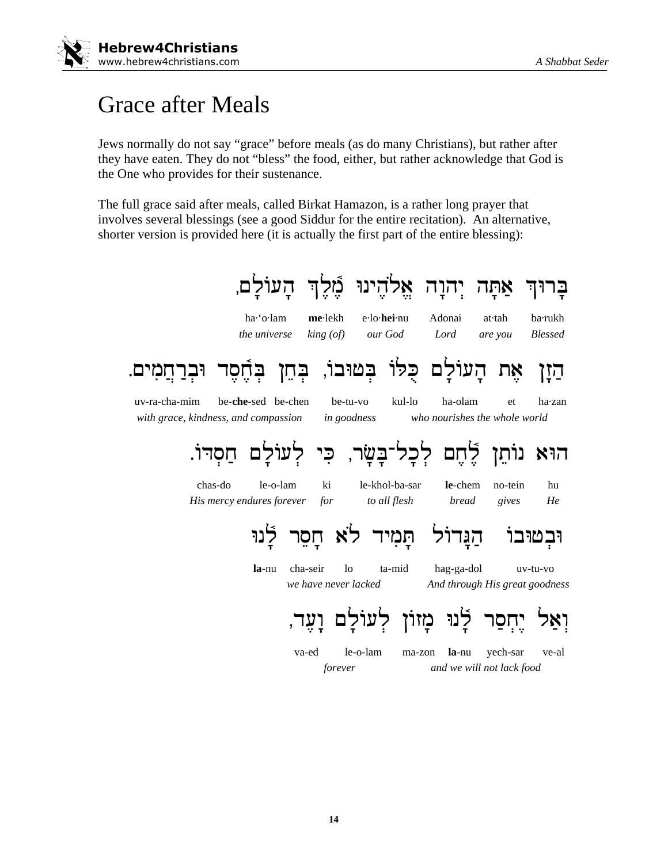

### **Grace after Meals**

Jews normally do not say "grace" before meals (as do many Christians), but rather after they have eaten. They do not "bless" the food, either, but rather acknowledge that God is the One who provides for their sustenance.

The full grace said after meals, called Birkat Hamazon, is a rather long prayer that involves several blessings (see a good Siddur for the entire recitation). An alternative, shorter version is provided here (it is actually the first part of the entire blessing):

אֵלֹהֵינוּ מֵֿלֵךְ הַעוֹלַם, יהוה me-lekh ha·'o·lam e·lo·hei·nu Adonai  $at\cdot \mathsf{t}ah$ ba·rukh the universe  $king (of)$ our God Lord are you **Blessed** בִּטוּבוֹ, כּלוֹ העוׄלם את מים. הון uv-ra-cha-mim be-che-sed be-chen be-tu-vo kul-lo ha-olam et ha·zan with grace, kindness, and compassion who nourishes the whole world in goodness חַסדּוֹ. לחם לם הוא נותן chas-do le-o-lam ki le-khol-ba-sar le-chem no-tein hu gives His mercy endures forever to all flesh bread  $He$ for לנו חסר תמיד ול הג ובטובו la-nu cha-seir  $1<sub>o</sub>$ ta-mid hag-ga-dol uv-tu-vo And through His great goodness we have never lacked יֵחִסַר לָּנוּ מַזוֹן לִעוֹלַם va-ed le-o-lam ma-zon la-nu yech-sar ve-al

14

forever

and we will not lack food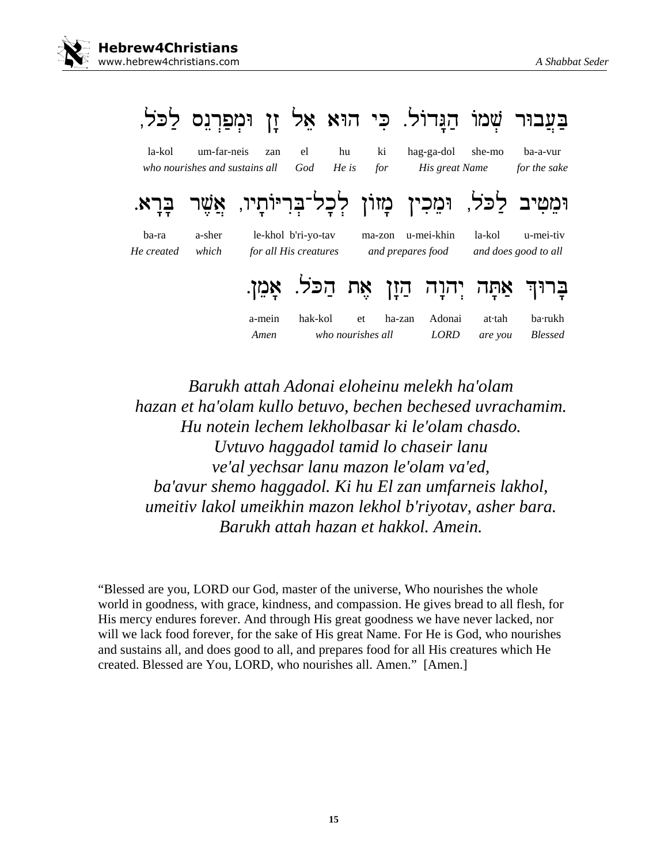## **ֹ** שְׁמוֹ הַגַּדוֹל. כִּי הוּא אֵל זַן וּמִפַּרְנֵס לַכּל,

la-kol um-far-neis zan el hu ki hag-ga-dol she-mo ba-a-vur *who nourishes and sustains all God He is for His great Name for the sake* 

## **Åar "B' rv ,a ] Ãwyt'AYr IB.-lk'l . !Azm ' !ykim eW ÃlK{l ; byjim eW**

ba-ra a-sher le-khol b'ri-yo-tav ma-zon u-mei-khin la-kol u-mei-tiv

*He created which for all His creatures and prepares food and does good to all* 



a-mein hak-kol et ha-zan Adonai at·tah ba·rukh *Amen who nourishes all LORD are you Blessed* 

*Barukh attah Adonai eloheinu melekh ha'olam hazan et ha'olam kullo betuvo, bechen bechesed uvrachamim. Hu notein lechem lekholbasar ki le'olam chasdo. Uvtuvo haggadol tamid lo chaseir lanu ve'al yechsar lanu mazon le'olam va'ed, ba'avur shemo haggadol. Ki hu El zan umfarneis lakhol, umeitiv lakol umeikhin mazon lekhol b'riyotav, asher bara. Barukh attah hazan et hakkol. Amein.* 

"Blessed are you, LORD our God, master of the universe, Who nourishes the whole world in goodness, with grace, kindness, and compassion. He gives bread to all flesh, for His mercy endures forever. And through His great goodness we have never lacked, nor will we lack food forever, for the sake of His great Name. For He is God, who nourishes and sustains all, and does good to all, and prepares food for all His creatures which He created. Blessed are You, LORD, who nourishes all. Amen." [Amen.]

**15**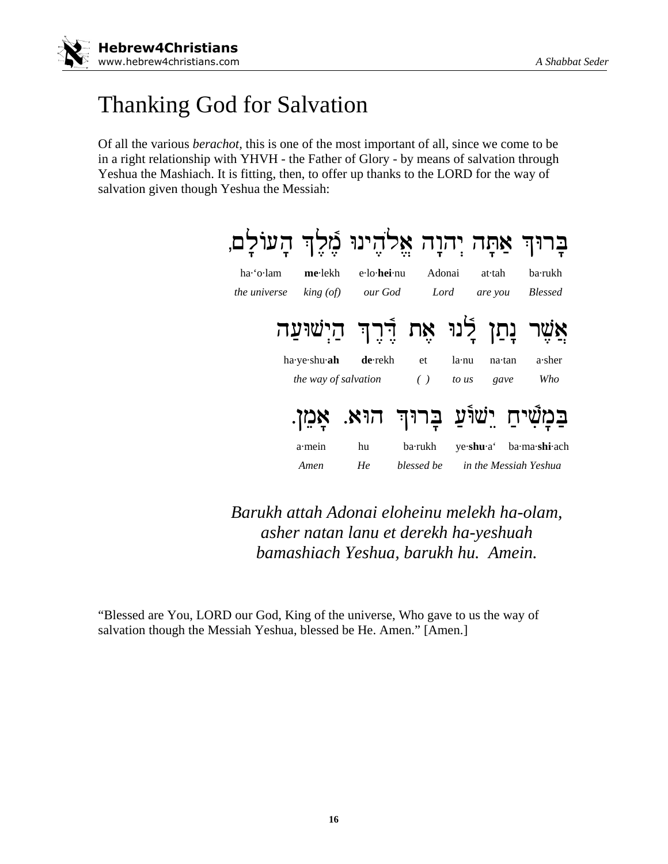

## **Thanking God for Salvation**

Of all the various *berachot*, this is one of the most important of all, since we come to be in a right relationship with YHVH - the Father of Glory - by means of salvation through Yeshua the Mashiach. It is fitting, then, to offer up thanks to the LORD for the way of salvation given though Yeshua the Messiah:

| וּוּדְ אַתָּה יִהוָה אֵלֹהֵינוּ מֵֿלֵךְ הָעוֹלָם, |                               |                                            |                       |                |                                                         |                                        |
|---------------------------------------------------|-------------------------------|--------------------------------------------|-----------------------|----------------|---------------------------------------------------------|----------------------------------------|
| ha·'o·lam<br><i>the universe</i>                  | $me$ -lekh<br>king (of)       | $e$ ·lo·hei·nu<br>our God                  |                       | Adonai<br>Lord | at∙tah<br>are you                                       | ba∙rukh<br><b>Blessed</b>              |
|                                                   |                               | נָתַן לָנוּ אֵת דֶּרֵךְ הַיִשׁוּעַה        |                       |                |                                                         |                                        |
|                                                   | $ha\cdot ye\cdot shu\cdot ah$ | $de$ -rekh<br>the way of salvation         | et<br>( )             | la·nu<br>to us | na <sub>tan</sub><br>gave                               | $a\cdot$ sher<br>Who                   |
|                                                   |                               | בַּמַשִׁיחַ יֵשׁוּֿעַ בַרוּךְ הוּא. אַמֵן. |                       |                |                                                         |                                        |
|                                                   | $a$ ·mein<br>Amen             | hu<br>He                                   | ba∙rukh<br>blessed be |                | $ye$ <b>shu</b> $\cdot$ a <sup><math>\cdot</math></sup> | ba·ma·shi·ach<br>in the Messiah Yeshua |

Barukh attah Adonai eloheinu melekh ha-olam, asher natan lanu et derekh ha-yeshuah bamashiach Yeshua, barukh hu. Amein.

"Blessed are You, LORD our God, King of the universe, Who gave to us the way of salvation though the Messiah Yeshua, blessed be He. Amen." [Amen.]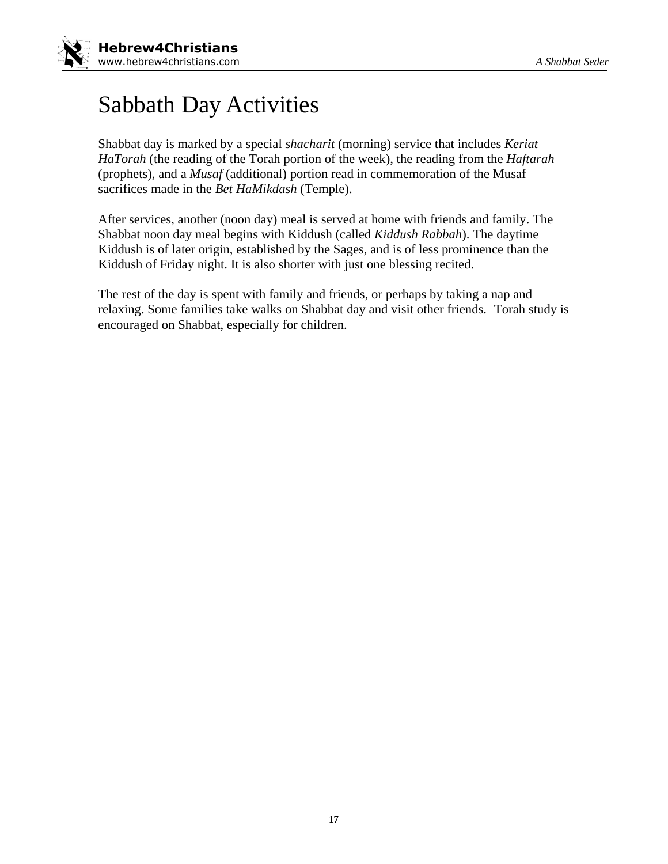

## Sabbath Day Activities

Shabbat day is marked by a special *shacharit* (morning) service that includes *Keriat HaTorah* (the reading of the Torah portion of the week), the reading from the *Haftarah* (prophets), and a *Musaf* (additional) portion read in commemoration of the Musaf sacrifices made in the *Bet HaMikdash* (Temple).

After services, another (noon day) meal is served at home with friends and family. The Shabbat noon day meal begins with Kiddush (called *Kiddush Rabbah*). The daytime Kiddush is of later origin, established by the Sages, and is of less prominence than the Kiddush of Friday night. It is also shorter with just one blessing recited.

The rest of the day is spent with family and friends, or perhaps by taking a nap and relaxing. Some families take walks on Shabbat day and visit other friends. Torah study is encouraged on Shabbat, especially for children.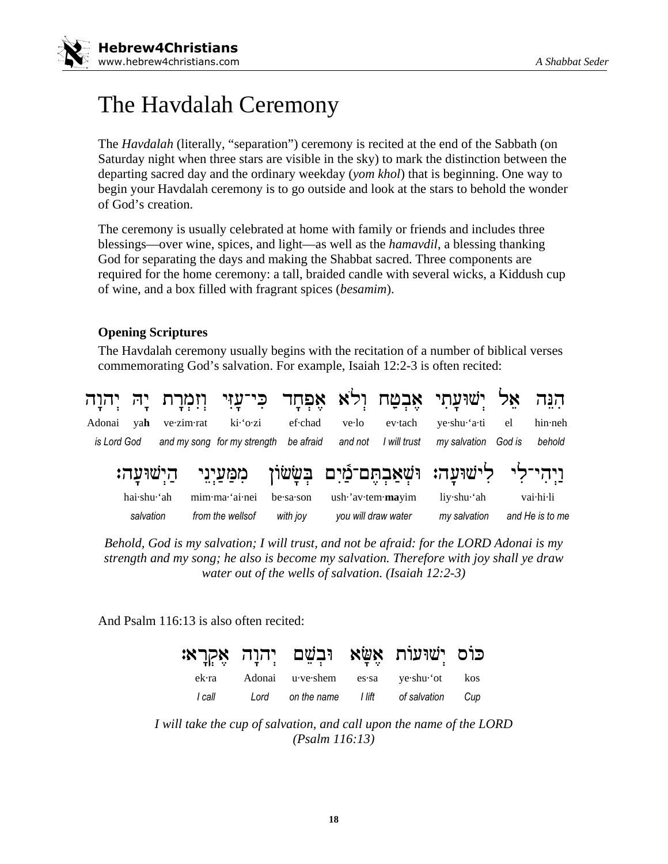

## The Havdalah Ceremony

The *Havdalah* (literally, "separation") ceremony is recited at the end of the Sabbath (on Saturday night when three stars are visible in the sky to mark the distinction between the departing sacred day and the ordinary weekday (yom khol) that is beginning. One way to begin your Havdalah ceremony is to go outside and look at the stars to behold the wonder of God's creation.

The ceremony is usually celebrated at home with family or friends and includes three blessings—over wine, spices, and light—as well as the *hamavdil*, a blessing thanking God for separating the days and making the Shabbat sacred. Three components are required for the home ceremony: a tall, braided candle with several wicks, a Kiddush cup of wine, and a box filled with fragrant spices (*besamim*).

#### **Opening Scriptures**

The Havdalah ceremony usually begins with the recitation of a number of biblical verses commemorating God's salvation. For example, Isaiah 12:2-3 is often recited:

|        |             |            |                             |             |                     |                  | אַל יְשׁוּעָתִי אֶבְטָח וְלֹא אֶפְחָד כִּי־עָזִי וְזִמְרָת יָהּ יְהֹנָה            |        | הנה             |
|--------|-------------|------------|-----------------------------|-------------|---------------------|------------------|------------------------------------------------------------------------------------|--------|-----------------|
| Adonai | vah         | ve-zim-rat | ki 'o·zi                    | ef-chad     | ve·lo               | $ev\text{-}tach$ | ye shu 'a ti                                                                       | el     | $hin\cdot$ neh  |
|        | is Lord God |            | and my song for my strength | be afraid   | and not             | I will trust     | my salvation                                                                       | God is | behold          |
|        |             |            |                             |             |                     |                  | וַיְהִי־לִי לִישׁוּעָה: וּשְׁאַבְתֶּם־מַֿיִם בְּשָׂשׂוֹן מִמַּעַיְנֵי הַיְשׁוּעָה: |        |                 |
|        | hai·shu·'ah |            | mim·ma·'ai·nei              | $be$ sa son | $ush$ av tem mayim  |                  | $liy\cdot shu\cdot ah$                                                             |        | vai∙hi∙li       |
|        | salvation   |            | from the wellsof            | with joy    | you will draw water |                  | my salvation                                                                       |        | and He is to me |

Behold, God is my salvation; I will trust, and not be afraid: for the LORD Adonai is my strength and my song; he also is become my salvation. Therefore with joy shall ye draw water out of the wells of salvation. (Isaiah  $12:2-3$ )

And Psalm 116:13 is also often recited:

|  |  | כּוּס יְשׁוּעוּת אֶשָּׂא וּבְשֵׁם יְהוָה אֶקְרָאּ:   |  |
|--|--|------------------------------------------------------|--|
|  |  | ek·ra Adonai u·ve·shem es·sa ye·shu·ot kos           |  |
|  |  | I call call Lord on the name I lift of salvation Cup |  |

I will take the cup of salvation, and call upon the name of the LORD  $(Psalm 116:13)$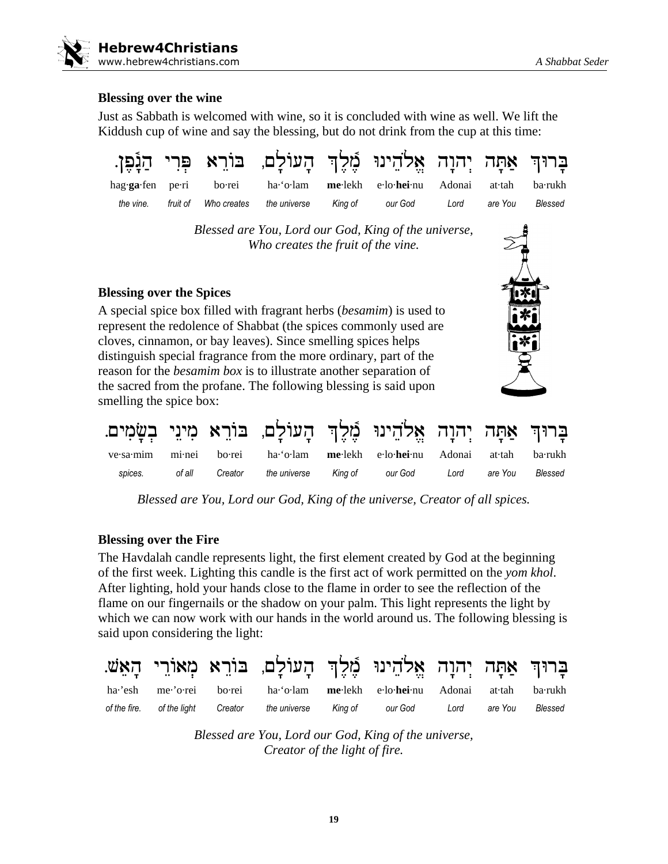

#### **Blessing over the wine**

Just as Sabbath is welcomed with wine, so it is concluded with wine as well. We lift the Kiddush cup of wine and say the blessing, but do not drink from the cup at this time:

|           |                      | בָרוּךְ אַתָּה יְהוָה אֱלֹהֵינוּ מֶֿלֶךְ הָעוֹלָם, בּוֹרֵא פְּרִי הַנָּֿפֶן. |         |         |      |         |         |
|-----------|----------------------|------------------------------------------------------------------------------|---------|---------|------|---------|---------|
|           |                      | hag.ga.fen pe.ri bo.rei ha. olam me.lekh e.lo.hei.nu Adonai at.tah           |         |         |      |         | ba∙rukh |
| the vine. | fruit of Who creates | the universe                                                                 | Kina of | our God | Lord | are You | Blessed |
|           |                      |                                                                              |         |         |      |         |         |

*Blessed are You, Lord our God, King of the universe, Who creates the fruit of the vine.* 

#### **Blessing over the Spices**

A special spice box filled with fragrant herbs (*besamim*) is used to represent the redolence of Shabbat (the spices commonly used are cloves, cinnamon, or bay leaves). Since smelling spices helps distinguish special fragrance from the more ordinary, part of the reason for the *besamim box* is to illustrate another separation of the sacred from the profane. The following blessing is said upon smelling the spice box:



|         |        |         | בְּרוּךְ אַתָּה יְהוָה אֱלֹהֵינוּ מֶֿלֶךְ הָעוֹלָם, בּוֹרֵא מִינֵי בְשָׂמִים. |                 |      |         |         |  |
|---------|--------|---------|-------------------------------------------------------------------------------|-----------------|------|---------|---------|--|
|         |        |         | ve sa mim mi nei bo rei ha 'o lam me lekh e lo hei nu Adonai at tah           |                 |      |         | ha•rukh |  |
| spices. | of all | Creator | the universe                                                                  | King of our God | Lord | are You | Blessed |  |

*Blessed are You, Lord our God, King of the universe, Creator of all spices.* 

#### **Blessing over the Fire**

The Havdalah candle represents light, the first element created by God at the beginning of the first week. Lighting this candle is the first act of work permitted on the *yom khol*. After lighting, hold your hands close to the flame in order to see the reflection of the flame on our fingernails or the shadow on your palm. This light represents the light by which we can now work with our hands in the world around us. The following blessing is said upon considering the light:

|                           |         | בְּרוּךְ אַתָּה יְהוָה אֱלֹהֵינוּ מֶֿלֶךְ הָעוֹלָם, בּוֹרֵא מְאוֹרֵי הָאֵשׁ. |                             |      |         |         |
|---------------------------|---------|------------------------------------------------------------------------------|-----------------------------|------|---------|---------|
|                           |         | ha esh me o rei bo rei ha o lam me lekh e lo hei nu Adonai at tah ba rukh    |                             |      |         |         |
| of the fire. of the light | Creator | the universe                                                                 | Kina of             our God | Lord | are You | Blessed |

*Blessed are You, Lord our God, King of the universe, Creator of the light of fire.*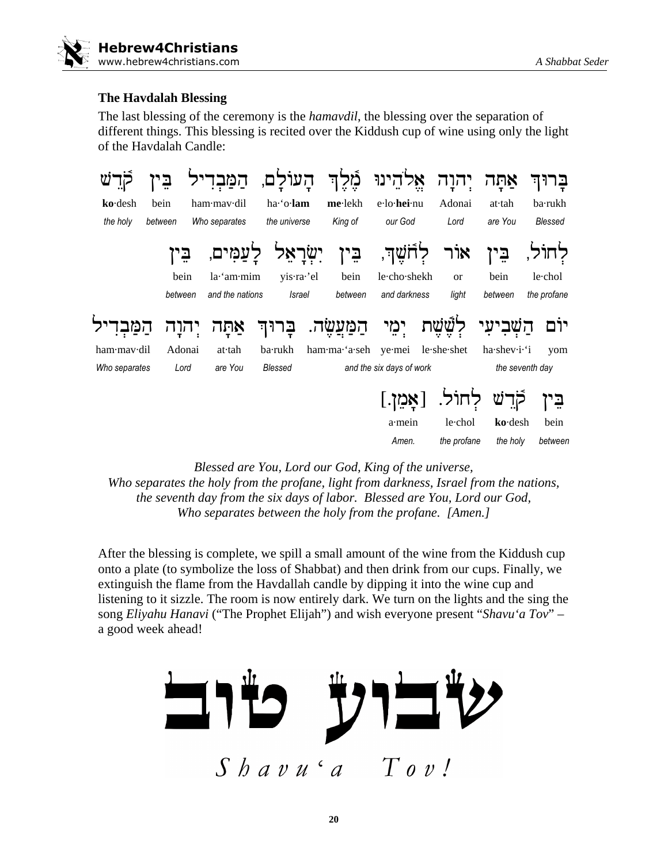#### **The Havdalah Blessing**

The last blessing of the ceremony is the *hamavdil*, the blessing over the separation of different things. This blessing is recited over the Kiddush cup of wine using only the light of the Havdalah Candle:

| ko-desh<br>the holy          | ביו<br>bein<br>between |                 | ham mav dil<br>Who separates  | העוֹלַם,<br>ha 'o lam<br>the universe | $me$ -lekh<br>King of           | אַלהֵינוּ מֶֿלֶךְ<br>e·lo· <b>hei</b> ·nu<br>our God | יהוה<br>Adonai<br>Lord         |         | אתה<br>at∙tah<br>are You | ברוּד<br>ba·rukh<br><b>Blessed</b> |
|------------------------------|------------------------|-----------------|-------------------------------|---------------------------------------|---------------------------------|------------------------------------------------------|--------------------------------|---------|--------------------------|------------------------------------|
|                              |                        | bein<br>between | la 'am mim<br>and the nations | ישׂראל<br>yis·ra·'el<br><b>Israel</b> | <b>ְבִין</b><br>bein<br>between | ּזֹשַׁךָ,<br>le-cho-shekh<br>and darkness            | אוֹר<br><sub>or</sub><br>light |         | בין<br>bein<br>between   | le-chol<br>the profane             |
|                              |                        | 'הוַה           | אתה                           | ברוּד                                 | המעשה.                          | יְמֵי                                                |                                |         |                          | יום                                |
| ham mav dil<br>Who separates |                        | Adonai<br>Lord  | at∙tah<br>are You             | ba·rukh<br>Blessed                    | ham·ma·'a·seh                   | ye mei<br>and the six days of work                   | le-she-shet                    |         | ha shev i 'i             | yom<br>the seventh day             |
|                              |                        |                 |                               |                                       |                                 | [אַמֵן.]<br>a·mein<br>Amen.                          | the profane                    | le·chol | ko-desh<br>the holy      | בי<br>bein<br>between              |

*Blessed are You, Lord our God, King of the universe, Who separates the holy from the profane, light from darkness, Israel from the nations, the seventh day from the six days of labor. Blessed are You, Lord our God, Who separates between the holy from the profane. [Amen.]* 

After the blessing is complete, we spill a small amount of the wine from the Kiddush cup onto a plate (to symbolize the loss of Shabbat) and then drink from our cups. Finally, we extinguish the flame from the Havdallah candle by dipping it into the wine cup and listening to it sizzle. The room is now entirely dark. We turn on the lights and the sing the song *Eliyahu Hanavi* ("The Prophet Elijah") and wish everyone present "*Shavu'a Tov*" – a good week ahead!

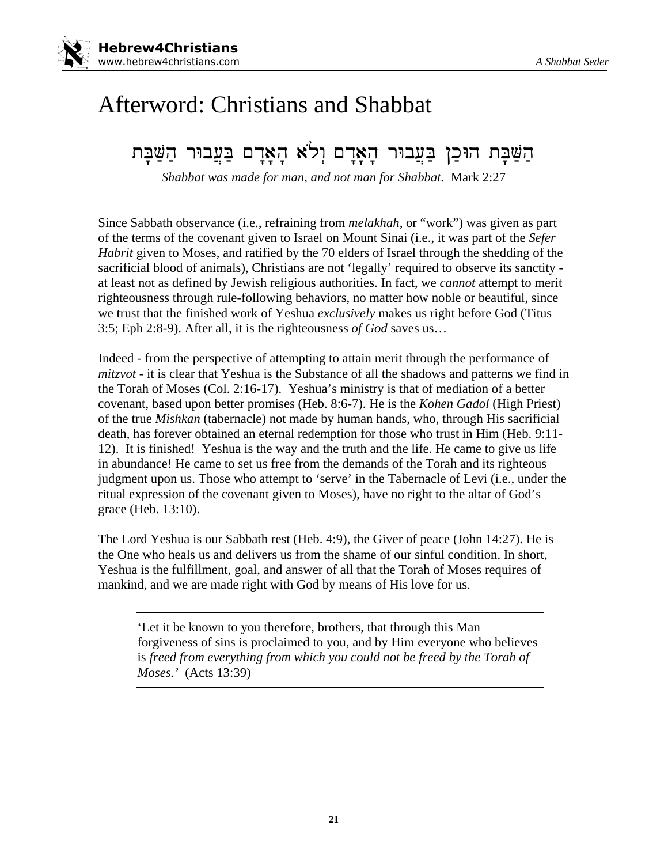## Afterword: Christians and Shabbat

## הַשַּּׁבָּת הוּכַן בַּעֲבוּר הָאָדָם וְלֹא הָאָדָם בַּעֲבוּר הַשַּׁבָּת

*Shabbat was made for man, and not man for Shabbat.* Mark 2:27

Since Sabbath observance (i.e., refraining from *melakhah*, or "work") was given as part of the terms of the covenant given to Israel on Mount Sinai (i.e., it was part of the *Sefer Habrit* given to Moses, and ratified by the 70 elders of Israel through the shedding of the sacrificial blood of animals), Christians are not 'legally' required to observe its sanctity at least not as defined by Jewish religious authorities. In fact, we *cannot* attempt to merit righteousness through rule-following behaviors, no matter how noble or beautiful, since we trust that the finished work of Yeshua *exclusively* makes us right before God (Titus 3:5; Eph 2:8-9). After all, it is the righteousness *of God* saves us…

Indeed - from the perspective of attempting to attain merit through the performance of *mitzvot* - it is clear that Yeshua is the Substance of all the shadows and patterns we find in the Torah of Moses (Col. 2:16-17). Yeshua's ministry is that of mediation of a better covenant, based upon better promises (Heb. 8:6-7). He is the *Kohen Gadol* (High Priest) of the true *Mishkan* (tabernacle) not made by human hands, who, through His sacrificial death, has forever obtained an eternal redemption for those who trust in Him (Heb. 9:11- 12). It is finished! Yeshua is the way and the truth and the life. He came to give us life in abundance! He came to set us free from the demands of the Torah and its righteous judgment upon us. Those who attempt to 'serve' in the Tabernacle of Levi (i.e., under the ritual expression of the covenant given to Moses), have no right to the altar of God's grace (Heb. 13:10).

The Lord Yeshua is our Sabbath rest (Heb. 4:9), the Giver of peace (John 14:27). He is the One who heals us and delivers us from the shame of our sinful condition. In short, Yeshua is the fulfillment, goal, and answer of all that the Torah of Moses requires of mankind, and we are made right with God by means of His love for us.

'Let it be known to you therefore, brothers, that through this Man forgiveness of sins is proclaimed to you, and by Him everyone who believes is *freed from everything from which you could not be freed by the Torah of Moses.'* (Acts 13:39)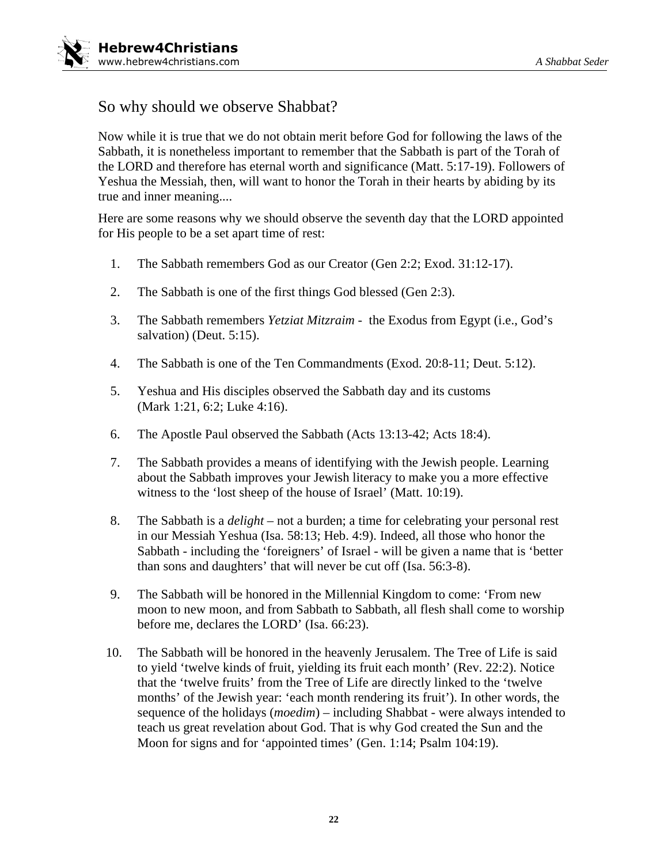

#### So why should we observe Shabbat?

Now while it is true that we do not obtain merit before God for following the laws of the Sabbath, it is nonetheless important to remember that the Sabbath is part of the Torah of the LORD and therefore has eternal worth and significance (Matt. 5:17-19). Followers of Yeshua the Messiah, then, will want to honor the Torah in their hearts by abiding by its true and inner meaning....

Here are some reasons why we should observe the seventh day that the LORD appointed for His people to be a set apart time of rest:

- 1. The Sabbath remembers God as our Creator (Gen 2:2; Exod. 31:12-17).
- 2. The Sabbath is one of the first things God blessed (Gen 2:3).
- 3. The Sabbath remembers *Yetziat Mitzraim* the Exodus from Egypt (i.e., God's salvation) (Deut. 5:15).
- 4. The Sabbath is one of the Ten Commandments (Exod. 20:8-11; Deut. 5:12).
- 5. Yeshua and His disciples observed the Sabbath day and its customs (Mark 1:21, 6:2; Luke 4:16).
- 6. The Apostle Paul observed the Sabbath (Acts 13:13-42; Acts 18:4).
- 7. The Sabbath provides a means of identifying with the Jewish people. Learning about the Sabbath improves your Jewish literacy to make you a more effective witness to the 'lost sheep of the house of Israel' (Matt. 10:19).
- 8. The Sabbath is a *delight* not a burden; a time for celebrating your personal rest in our Messiah Yeshua (Isa. 58:13; Heb. 4:9). Indeed, all those who honor the Sabbath - including the 'foreigners' of Israel - will be given a name that is 'better than sons and daughters' that will never be cut off (Isa. 56:3-8).
- 9. The Sabbath will be honored in the Millennial Kingdom to come: 'From new moon to new moon, and from Sabbath to Sabbath, all flesh shall come to worship before me, declares the LORD' (Isa. 66:23).
- 10. The Sabbath will be honored in the heavenly Jerusalem. The Tree of Life is said to yield 'twelve kinds of fruit, yielding its fruit each month' (Rev. 22:2). Notice that the 'twelve fruits' from the Tree of Life are directly linked to the 'twelve months' of the Jewish year: 'each month rendering its fruit'). In other words, the sequence of the holidays (*moedim*) – including Shabbat - were always intended to teach us great revelation about God. That is why God created the Sun and the Moon for signs and for 'appointed times' (Gen. 1:14; Psalm 104:19).